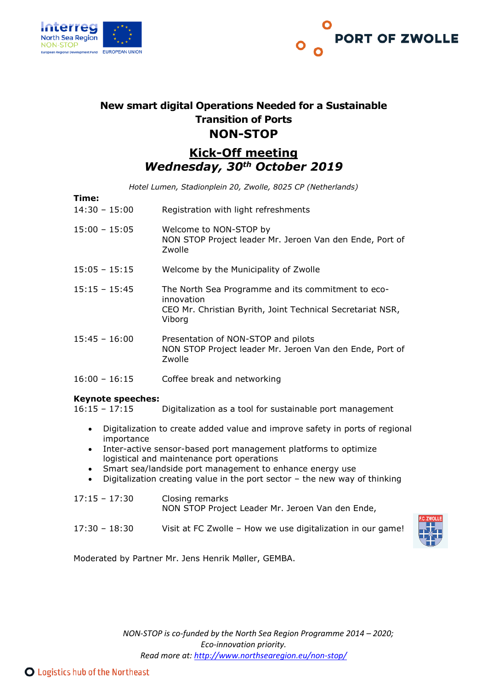



# **New smart digital Operations Needed for a Sustainable Transition of Ports NON-STOP**

## **Kick-Off meeting** *Wednesday, 30th October 2019*

*Hotel Lumen, Stadionplein 20, Zwolle, 8025 CP (Netherlands)*

| Time:           |                                                                                                                                          |
|-----------------|------------------------------------------------------------------------------------------------------------------------------------------|
| $14:30 - 15:00$ | Registration with light refreshments                                                                                                     |
| $15:00 - 15:05$ | Welcome to NON-STOP by<br>NON STOP Project leader Mr. Jeroen Van den Ende, Port of<br>Zwolle                                             |
| $15:05 - 15:15$ | Welcome by the Municipality of Zwolle                                                                                                    |
| $15:15 - 15:45$ | The North Sea Programme and its commitment to eco-<br>innovation<br>CEO Mr. Christian Byrith, Joint Technical Secretariat NSR,<br>Viborg |
| $15:45 - 16:00$ | Presentation of NON-STOP and pilots<br>NON STOP Project leader Mr. Jeroen Van den Ende, Port of<br>Zwolle                                |

# 16:00 – 16:15 Coffee break and networking

#### **Keynote speeches:**

16:15 – 17:15 Digitalization as a tool for sustainable port management

- Digitalization to create added value and improve safety in ports of regional importance
- Inter-active sensor-based port management platforms to optimize logistical and maintenance port operations
- Smart sea/landside port management to enhance energy use
- Digitalization creating value in the port sector the new way of thinking

| $17:15 - 17:30$ | Closing remarks<br>NON STOP Project Leader Mr. Jeroen Van den Ende, |
|-----------------|---------------------------------------------------------------------|
| $17:30 - 18:30$ | Visit at FC Zwolle - How we use digitalization in our game!         |



Moderated by Partner Mr. Jens Henrik Møller, GEMBA.

*NON-STOP is co-funded by the North Sea Region Programme 2014 – 2020; Eco-innovation priority. Read more at:<http://www.northsearegion.eu/non-stop/>*